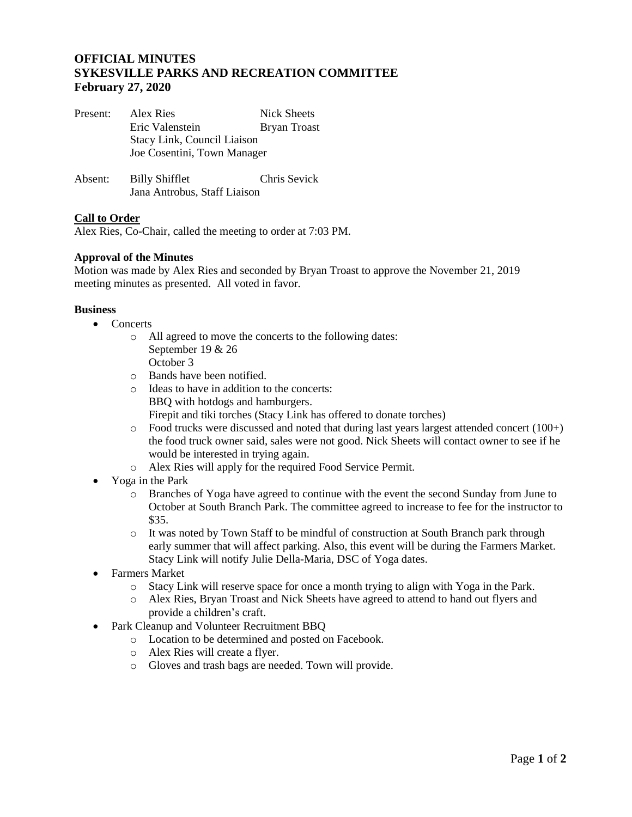# **OFFICIAL MINUTES SYKESVILLE PARKS AND RECREATION COMMITTEE February 27, 2020**

| Present: | Alex Ries<br>Eric Valenstein                               | Nick Sheets<br><b>Bryan Troast</b> |
|----------|------------------------------------------------------------|------------------------------------|
|          | Stacy Link, Council Liaison<br>Joe Cosentini, Town Manager |                                    |
| Absent:  | <b>Billy Shifflet</b><br>Jana Antrobus, Staff Liaison      | Chris Sevick                       |

## **Call to Order**

Alex Ries, Co-Chair, called the meeting to order at 7:03 PM.

#### **Approval of the Minutes**

Motion was made by Alex Ries and seconded by Bryan Troast to approve the November 21, 2019 meeting minutes as presented. All voted in favor.

#### **Business**

- Concerts
	- o All agreed to move the concerts to the following dates: September 19 & 26 October 3
	- o Bands have been notified.
	- o Ideas to have in addition to the concerts: BBQ with hotdogs and hamburgers. Firepit and tiki torches (Stacy Link has offered to donate torches)
	- o Food trucks were discussed and noted that during last years largest attended concert (100+) the food truck owner said, sales were not good. Nick Sheets will contact owner to see if he would be interested in trying again.
	- o Alex Ries will apply for the required Food Service Permit.
- Yoga in the Park
	- o Branches of Yoga have agreed to continue with the event the second Sunday from June to October at South Branch Park. The committee agreed to increase to fee for the instructor to \$35.
	- o It was noted by Town Staff to be mindful of construction at South Branch park through early summer that will affect parking. Also, this event will be during the Farmers Market. Stacy Link will notify Julie Della-Maria, DSC of Yoga dates.
- Farmers Market
	- o Stacy Link will reserve space for once a month trying to align with Yoga in the Park.
	- o Alex Ries, Bryan Troast and Nick Sheets have agreed to attend to hand out flyers and provide a children's craft.
- Park Cleanup and Volunteer Recruitment BBQ
	- o Location to be determined and posted on Facebook.
	- o Alex Ries will create a flyer.
	- o Gloves and trash bags are needed. Town will provide.